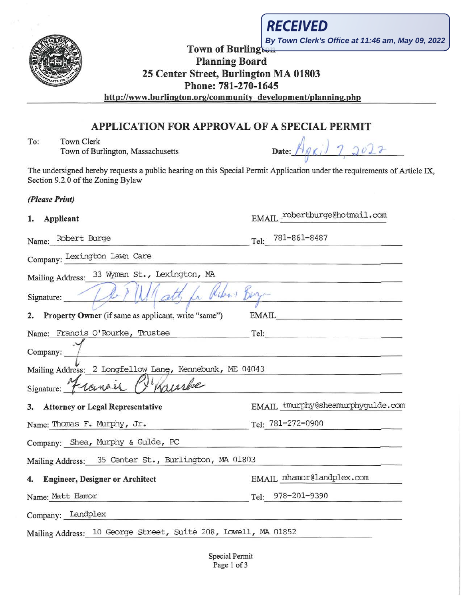**By Town Clerk's Office at 11:46 am, May 09, 2022**

RECEIVED

# Town of Burlington Planning Board 25 Center Street, Burlington MA 01803 Phone: 781-270-1645

http://www .burlington.org/community development/planning.php

## APPLICATION FOR APPROVAL OF A SPECIAL PERMIT

To: Town Clerk Town of Burlington, Massachusetts

| Date: |  |  |  |  |
|-------|--|--|--|--|
|       |  |  |  |  |

 $E\text{MAIL}$  robertburge@hotmail.com

EMAIL tmurphy@sheamurphygulde.com

The undersigned hereby requests a public hearing on this Special Permit Application under the requirements of Article IX, Section 9.2.0 of the Zoning Bylaw

*(Please Print)* 

| Applicant |
|-----------|
|           |

Name: Robert Burge Tel: 781-861-8487

Company: Lexington Lawn Care

Mailing Address: 33 Wyman St., Lexington, MA

Signature: De PUI att for Ribon Boy-2. Property Owner (if same as applicant, write "same") EMAIL

|  | Name: Francis O'Rourke, Trustee |  |  |  |  |
|--|---------------------------------|--|--|--|--|
|  |                                 |  |  |  |  |

Company: 7 Mailing Address: 2 Longfellow Lang, Kennebunk, ME 04043

|  |           | ------ |  |
|--|-----------|--------|--|
|  |           |        |  |
|  | Signature |        |  |

| 3. Attorney or Legal Representative | EMAIL tmurphy@sh  |  |
|-------------------------------------|-------------------|--|
| Name: Thomas F. Murphy, Jr.         | Tel: 781-272-0900 |  |

Company: Shea, Murphy & Gulde, PC

Mailing Address: 35 Center St., Burlington, MA 01803

# 4. Engineer, Designer or Architect EMAIL mhamor@landplex.com

Name: Matt Hamor Tel: 978-201-9390

Company: Landplex

Mailing Address: 10 George Street, Suite 208, Lowell, MA 01852

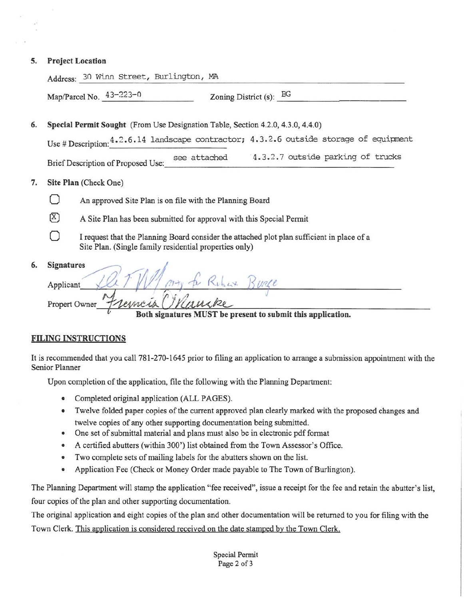#### **5. Project Location**

|    | Address: 30 Winn Street, Burlington, MA                                                                                                              |  |  |  |  |
|----|------------------------------------------------------------------------------------------------------------------------------------------------------|--|--|--|--|
|    | Map/Parcel No. $43-223-0$<br>Zoning District (s): $BG$                                                                                               |  |  |  |  |
| 6. | Special Permit Sought (From Use Designation Table, Section 4.2.0, 4.3.0, 4.4.0)                                                                      |  |  |  |  |
|    | Use # Description: 4.2.6.14 landscape contractor; 4.3.2.6 outside storage of equipment                                                               |  |  |  |  |
|    | 4.3.2.7 outside parking of trucks<br>see attached<br>Brief Description of Proposed Use:                                                              |  |  |  |  |
| 7. | Site Plan (Check One)                                                                                                                                |  |  |  |  |
|    | An approved Site Plan is on file with the Planning Board                                                                                             |  |  |  |  |
|    | (X)<br>A Site Plan has been submitted for approval with this Special Permit                                                                          |  |  |  |  |
|    | I request that the Planning Board consider the attached plot plan sufficient in place of a<br>Site Plan. (Single family residential properties only) |  |  |  |  |
| 6. | <b>Signatures</b><br>Rubert Burge<br>Applicant<br>remois l<br>Propert Owner<br>Both signatures MUST be present to submit this application.           |  |  |  |  |
|    |                                                                                                                                                      |  |  |  |  |

### **FILING INSTRUCTIONS**

It is recommended that you call 781 -270-1645 prior to filing an application to arrange a submission appointment with the Senior Planner

Upon completion of the application, file the following with the Planning Department:

- Completed original application (ALL PAGES).
- Twelve folded paper copies of the current approved plan clearly marked with the proposed changes and twelve copies of any other supporting documentation being submitted.
- One set of submittal material and plans must also be in electronic pdf format
- A certified abutters (within 300') list obtained from the Town Assessor's Office.
- Two complete sets of mailing labels for the abutters shown on the list.
- Application Fee (Check or Money Order made payable to The Town of Burlington).

The Planning Department will stamp the application "fee received", issue a receipt for the fee and retain the abutter's list, four copies of the plan and other supporting documentation.

The original application and eight copies of the plan and other documentation will be returned to you for filing with the Town Clerk. This application is considered received on the date stamped by the Town Clerk.